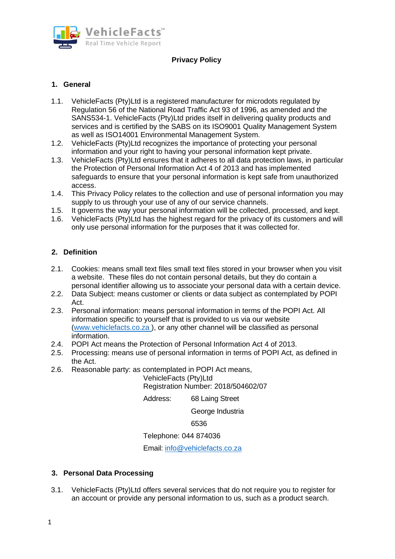

# **Privacy Policy**

# **1. General**

- 1.1. VehicleFacts (Pty)Ltd is a registered manufacturer for microdots regulated by Regulation 56 of the National Road Traffic Act 93 of 1996, as amended and the SANS534-1. VehicleFacts (Pty)Ltd prides itself in delivering quality products and services and is certified by the SABS on its ISO9001 Quality Management System as well as ISO14001 Environmental Management System.
- 1.2. VehicleFacts (Pty)Ltd recognizes the importance of protecting your personal information and your right to having your personal information kept private.
- 1.3. VehicleFacts (Pty)Ltd ensures that it adheres to all data protection laws, in particular the Protection of Personal Information Act 4 of 2013 and has implemented safeguards to ensure that your personal information is kept safe from unauthorized access.
- 1.4. This Privacy Policy relates to the collection and use of personal information you may supply to us through your use of any of our service channels.
- 1.5. It governs the way your personal information will be collected, processed, and kept.
- 1.6. VehicleFacts (Pty)Ltd has the highest regard for the privacy of its customers and will only use personal information for the purposes that it was collected for.

## **2. Definition**

- 2.1. Cookies: means small text files small text files stored in your browser when you visit a website. These files do not contain personal details, but they do contain a personal identifier allowing us to associate your personal data with a certain device.
- 2.2. Data Subject: means customer or clients or data subject as contemplated by POPI Act.
- 2.3. Personal information: means personal information in terms of the POPI Act. All information specific to yourself that is provided to us via our website (www.vehiclefacts.co.za ), or any other channel will be classified as personal information.
- 2.4. POPI Act means the Protection of Personal Information Act 4 of 2013.
- 2.5. Processing: means use of personal information in terms of POPI Act, as defined in the Act.
- 2.6. Reasonable party: as contemplated in POPI Act means,

VehicleFacts (Pty)Ltd Registration Number: 2018/504602/07

Address: 68 Laing Street

George Industria

6536

Telephone: 044 874036

Email: info@vehiclefacts.co.za

## **3. Personal Data Processing**

3.1. VehicleFacts (Pty)Ltd offers several services that do not require you to register for an account or provide any personal information to us, such as a product search.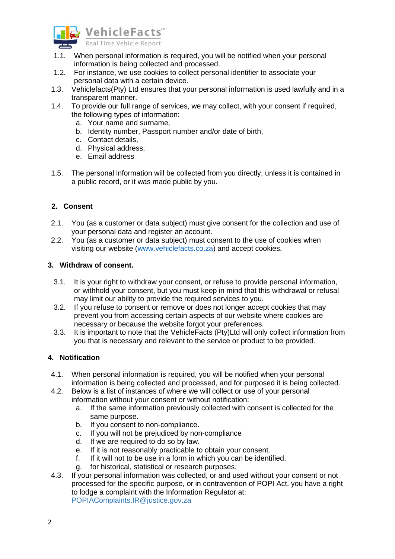

- 1.1. When personal information is required, you will be notified when your personal information is being collected and processed.
- 1.2. For instance, we use cookies to collect personal identifier to associate your personal data with a certain device.
- 1.3. Vehiclefacts(Pty) Ltd ensures that your personal information is used lawfully and in a transparent manner.
- 1.4. To provide our full range of services, we may collect, with your consent if required, the following types of information:
	- a. Your name and surname,
	- b. Identity number, Passport number and/or date of birth,
	- c. Contact details,
	- d. Physical address,
	- e. Email address
- 1.5. The personal information will be collected from you directly, unless it is contained in a public record, or it was made public by you.

## **2. Consent**

- 2.1. You (as a customer or data subject) must give consent for the collection and use of your personal data and register an account.
- 2.2. You (as a customer or data subject) must consent to the use of cookies when visiting our website (www.vehiclefacts.co.za) and accept cookies.

## **3. Withdraw of consent.**

- 3.1. It is your right to withdraw your consent, or refuse to provide personal information, or withhold your consent, but you must keep in mind that this withdrawal or refusal may limit our ability to provide the required services to you.
- 3.2. If you refuse to consent or remove or does not longer accept cookies that may prevent you from accessing certain aspects of our website where cookies are necessary or because the website forgot your preferences.
- 3.3. It is important to note that the VehicleFacts (Pty)Ltd will only collect information from you that is necessary and relevant to the service or product to be provided.

## **4. Notification**

- 4.1. When personal information is required, you will be notified when your personal information is being collected and processed, and for purposed it is being collected.
- 4.2. Below is a list of instances of where we will collect or use of your personal information without your consent or without notification:
	- a. If the same information previously collected with consent is collected for the same purpose.
	- b. If you consent to non-compliance.
	- c. If you will not be prejudiced by non-compliance
	- d. If we are required to do so by law.
	- e. If it is not reasonably practicable to obtain your consent.
	- f. If it will not to be use in a form in which you can be identified.
	- g. for historical, statistical or research purposes.
- 4.3. If your personal information was collected, or and used without your consent or not processed for the specific purpose, or in contravention of POPI Act, you have a right to lodge a complaint with the Information Regulator at: POPIAComplaints.IR@justice.gov.za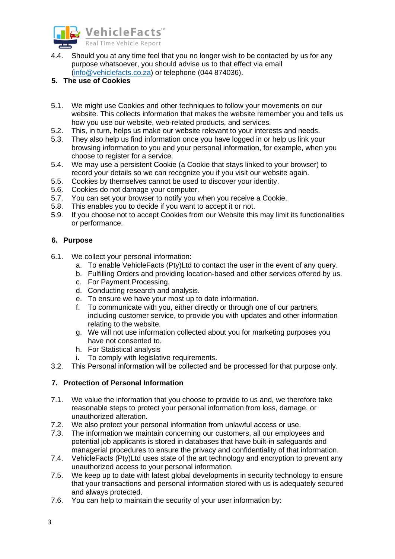

4.4. Should you at any time feel that you no longer wish to be contacted by us for any purpose whatsoever, you should advise us to that effect via email (info@vehiclefacts.co.za) or telephone (044 874036).

# **5. The use of Cookies**

- 5.1. We might use Cookies and other techniques to follow your movements on our website. This collects information that makes the website remember you and tells us how you use our website, web-related products, and services.
- 5.2. This, in turn, helps us make our website relevant to your interests and needs.
- 5.3. They also help us find information once you have logged in or help us link your browsing information to you and your personal information, for example, when you choose to register for a service.
- 5.4. We may use a persistent Cookie (a Cookie that stays linked to your browser) to record your details so we can recognize you if you visit our website again.
- 5.5. Cookies by themselves cannot be used to discover your identity.
- 5.6. Cookies do not damage your computer.
- 5.7. You can set your browser to notify you when you receive a Cookie.
- 5.8. This enables you to decide if you want to accept it or not.
- 5.9. If you choose not to accept Cookies from our Website this may limit its functionalities or performance.

## **6. Purpose**

- 6.1. We collect your personal information:
	- a. To enable VehicleFacts (Pty)Ltd to contact the user in the event of any query.
	- b. Fulfilling Orders and providing location-based and other services offered by us.
	- c. For Payment Processing.
	- d. Conducting research and analysis.
	- e. To ensure we have your most up to date information.
	- f. To communicate with you, either directly or through one of our partners, including customer service, to provide you with updates and other information relating to the website.
	- g. We will not use information collected about you for marketing purposes you have not consented to.
	- h. For Statistical analysis
	- i. To comply with legislative requirements.
- 3.2. This Personal information will be collected and be processed for that purpose only.

# **7. Protection of Personal Information**

- 7.1. We value the information that you choose to provide to us and, we therefore take reasonable steps to protect your personal information from loss, damage, or unauthorized alteration.
- 7.2. We also protect your personal information from unlawful access or use.
- 7.3. The information we maintain concerning our customers, all our employees and potential job applicants is stored in databases that have built-in safeguards and managerial procedures to ensure the privacy and confidentiality of that information.
- 7.4. VehicleFacts (Pty)Ltd uses state of the art technology and encryption to prevent any unauthorized access to your personal information.
- 7.5. We keep up to date with latest global developments in security technology to ensure that your transactions and personal information stored with us is adequately secured and always protected.
- 7.6. You can help to maintain the security of your user information by: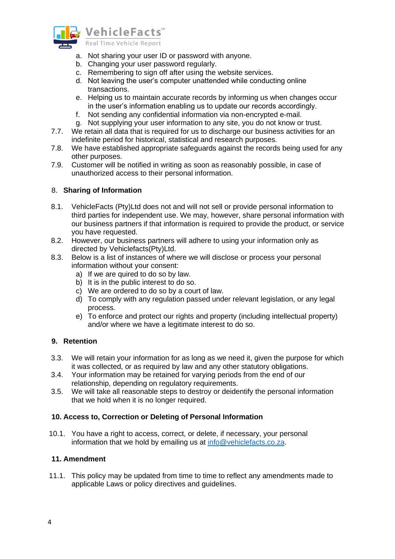

- a. Not sharing your user ID or password with anyone.
- b. Changing your user password regularly.
- c. Remembering to sign off after using the website services.
- d. Not leaving the user's computer unattended while conducting online transactions.
- e. Helping us to maintain accurate records by informing us when changes occur in the user's information enabling us to update our records accordingly.
- f. Not sending any confidential information via non-encrypted e-mail.
- g. Not supplying your user information to any site, you do not know or trust.
- 7.7. We retain all data that is required for us to discharge our business activities for an indefinite period for historical, statistical and research purposes.
- 7.8. We have established appropriate safeguards against the records being used for any other purposes.
- 7.9. Customer will be notified in writing as soon as reasonably possible, in case of unauthorized access to their personal information.

#### 8. **Sharing of Information**

- 8.1. VehicleFacts (Pty)Ltd does not and will not sell or provide personal information to third parties for independent use. We may, however, share personal information with our business partners if that information is required to provide the product, or service you have requested.
- 8.2. However, our business partners will adhere to using your information only as directed by Vehiclefacts(Pty)Ltd.
- 8.3. Below is a list of instances of where we will disclose or process your personal information without your consent:
	- a) If we are quired to do so by law.
	- b) It is in the public interest to do so.
	- c) We are ordered to do so by a court of law.
	- d) To comply with any regulation passed under relevant legislation, or any legal process.
	- e) To enforce and protect our rights and property (including intellectual property) and/or where we have a legitimate interest to do so.

#### **9. Retention**

- 3.3. We will retain your information for as long as we need it, given the purpose for which it was collected, or as required by law and any other statutory obligations.
- 3.4. Your information may be retained for varying periods from the end of our relationship, depending on regulatory requirements.
- 3.5. We will take all reasonable steps to destroy or deidentify the personal information that we hold when it is no longer required.

#### **10. Access to, Correction or Deleting of Personal Information**

10.1. You have a right to access, correct, or delete, if necessary, your personal information that we hold by emailing us at info@vehiclefacts.co.za.

## **11. Amendment**

11.1. This policy may be updated from time to time to reflect any amendments made to applicable Laws or policy directives and guidelines.